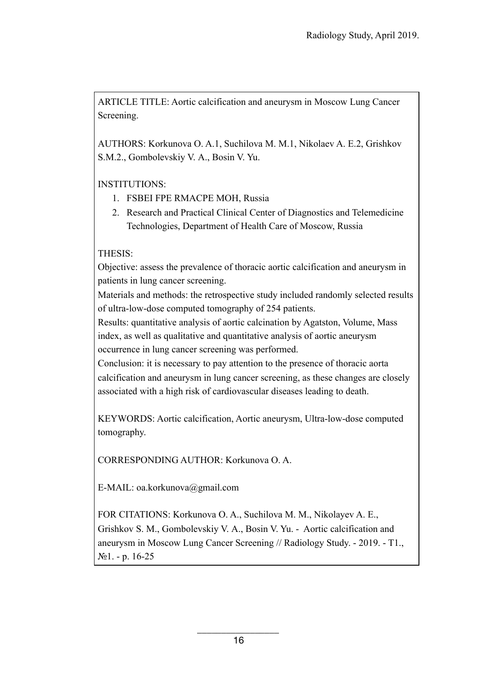ARTICLE TITLE: Aortic calcification and aneurysm in Moscow Lung Cancer Screening.

AUTHORS: Korkunova O. A.1, Suchilova M. M.1, Nikolaev A. E.2, Grishkov S.M.2., Gombolevskiy V. А., Bosin V. Yu.

INSTITUTIONS:

- 1. FSBEI FPE RMACPE MOH, Russia
- 2. Research and Practical Clinical Center of Diagnostics and Telemedicine Technologies, Department of Health Care of Moscow, Russia

# THESIS:

Objective: assess the prevalence of thoracic aortic calcification and aneurysm in patients in lung cancer screening.

Materials and methods: the retrospective study included randomly selected results of ultra-low-dose computed tomography of 254 patients.

Results: quantitative analysis of aortic calcination by Agatston, Volume, Mass index, as well as qualitative and quantitative analysis of aortic aneurysm occurrence in lung cancer screening was performed.

Conclusion: it is necessary to pay attention to the presence of thoracic aorta calcification and aneurysm in lung cancer screening, as these changes are closely associated with a high risk of cardiovascular diseases leading to death.

KEYWORDS: Aortic calcification, Aortic aneurysm, Ultra-low-dose computed tomography.

CORRESPONDING AUTHOR: Korkunova O. A.

E-MAIL: oa.korkunova@gmail.com

FOR CITATIONS: Korkunova O. A., Suchilova M. M., Nikolayev A. E., Grishkov S. M., Gombolevskiy V. А., Bosin V. Yu. - Aortic calcification and aneurysm in Moscow Lung Cancer Screening // Radiology Study. - 2019. - T1., №1. - p. 16-25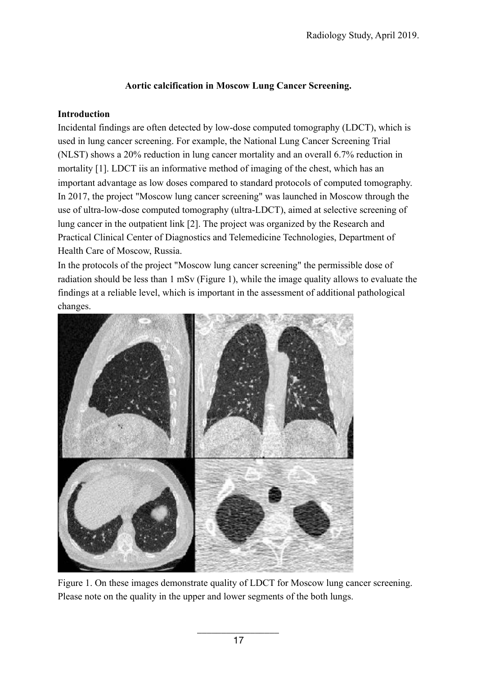#### **Aortic calcification in Moscow Lung Cancer Screening.**

#### **Introduction**

Incidental findings are often detected by low-dose computed tomography (LDCT), which is used in lung cancer screening. For example, the National Lung Cancer Screening Trial (NLST) shows a 20% reduction in lung cancer mortality and an overall 6.7% reduction in mortality [1]. LDCT iis an informative method of imaging of the chest, which has an important advantage as low doses compared to standard protocols of computed tomography. In 2017, the project "Moscow lung cancer screening" was launched in Moscow through the use of ultra-low-dose computed tomography (ultra-LDCT), aimed at selective screening of lung cancer in the outpatient link [2]. The project was organized by the Research and Practical Clinical Center of Diagnostics and Telemedicine Technologies, Department of Health Care of Moscow, Russia.

In the protocols of the project "Moscow lung cancer screening" the permissible dose of radiation should be less than 1 mSv (Figure 1), while the image quality allows to evaluate the findings at a reliable level, which is important in the assessment of additional pathological changes.



Figure 1. On these images demonstrate quality of LDCT for Moscow lung cancer screening. Please note on the quality in the upper and lower segments of the both lungs.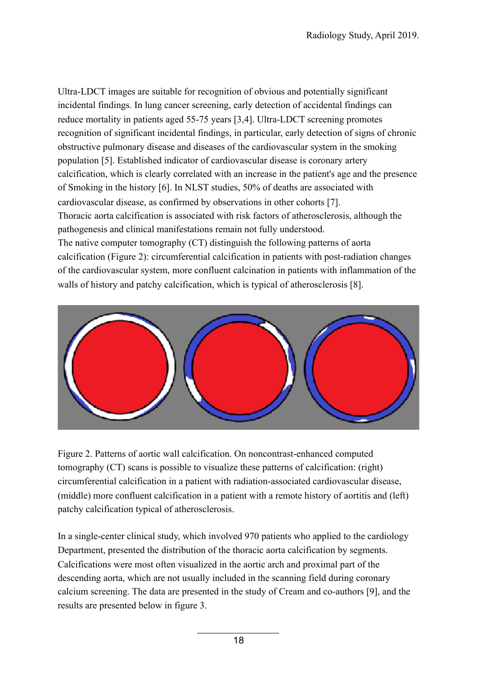Ultra-LDCT images are suitable for recognition of obvious and potentially significant incidental findings. In lung cancer screening, early detection of accidental findings can reduce mortality in patients aged 55-75 years [3,4]. Ultra-LDCT screening promotes recognition of significant incidental findings, in particular, early detection of signs of chronic obstructive pulmonary disease and diseases of the cardiovascular system in the smoking population [5]. Established indicator of cardiovascular disease is coronary artery calcification, which is clearly correlated with an increase in the patient's age and the presence of Smoking in the history [6]. In NLST studies, 50% of deaths are associated with cardiovascular disease, as confirmed by observations in other cohorts [7]. Thoracic aorta calcification is associated with risk factors of atherosclerosis, although the pathogenesis and clinical manifestations remain not fully understood. The native computer tomography (CT) distinguish the following patterns of aorta calcification (Figure 2): circumferential calcification in patients with post-radiation changes of the cardiovascular system, more confluent calcination in patients with inflammation of the walls of history and patchy calcification, which is typical of atherosclerosis [8].



Figure 2. Patterns of aortic wall calcification. On noncontrast-enhanced computed tomography (CT) scans is possible to visualize these patterns of calcification: (right) circumferential calcification in a patient with radiation-associated cardiovascular disease, (middle) more confluent calcification in a patient with a remote history of aortitis and (left) patchy calcification typical of atherosclerosis.

In a single-center clinical study, which involved 970 patients who applied to the cardiology Department, presented the distribution of the thoracic aorta calcification by segments. Calcifications were most often visualized in the aortic arch and proximal part of the descending aorta, which are not usually included in the scanning field during coronary calcium screening. The data are presented in the study of Cream and co-authors [9], and the results are presented below in figure 3.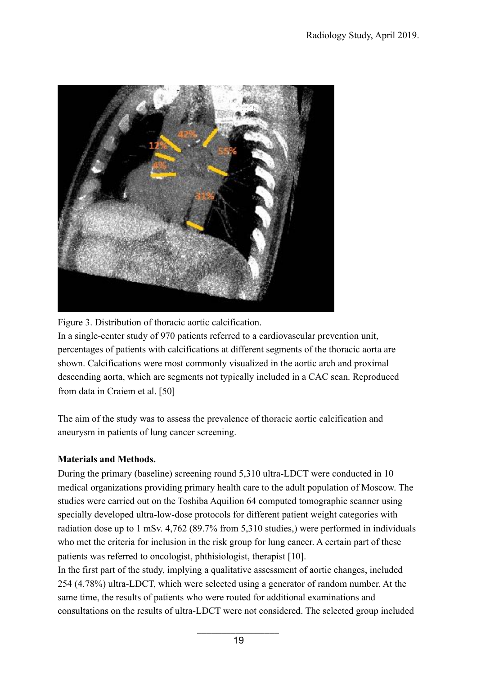

Figure 3. Distribution of thoracic aortic calcification.

In a single-center study of 970 patients referred to a cardiovascular prevention unit, percentages of patients with calcifications at different segments of the thoracic aorta are shown. Calcifications were most commonly visualized in the aortic arch and proximal descending aorta, which are segments not typically included in a CAC scan. Reproduced from data in Craiem et al. [50]

The aim of the study was to assess the prevalence of thoracic aortic calcification and aneurysm in patients of lung cancer screening.

## **Materials and Methods.**

During the primary (baseline) screening round 5,310 ultra-LDCT were conducted in 10 medical organizations providing primary health care to the adult population of Moscow. The studies were carried out on the Toshiba Aquilion 64 computed tomographic scanner using specially developed ultra-low-dose protocols for different patient weight categories with radiation dose up to 1 mSv. 4,762 (89.7% from 5,310 studies,) were performed in individuals who met the criteria for inclusion in the risk group for lung cancer. A certain part of these patients was referred to oncologist, phthisiologist, therapist [10].

In the first part of the study, implying a qualitative assessment of aortic changes, included 254 (4.78%) ultra-LDCT, which were selected using a generator of random number. At the same time, the results of patients who were routed for additional examinations and consultations on the results of ultra-LDCT were not considered. The selected group included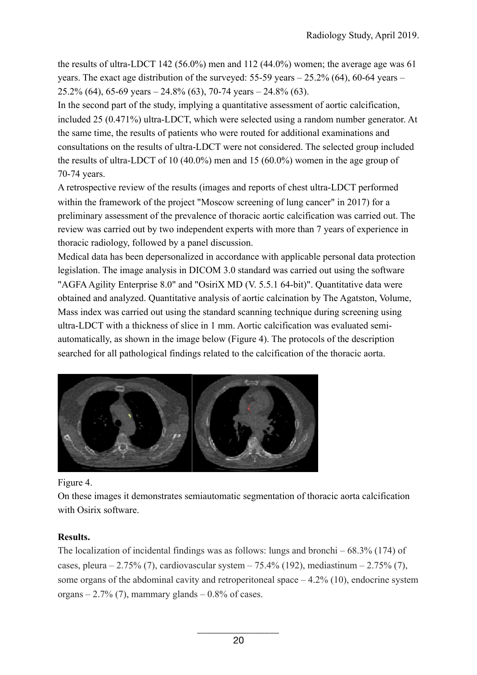the results of ultra-LDCT 142 (56.0%) men and 112 (44.0%) women; the average age was 61 years. The exact age distribution of the surveyed:  $55-59$  years  $-25.2\%$  (64), 60-64 years  $25.2\%$  (64), 65-69 years  $- 24.8\%$  (63), 70-74 years  $- 24.8\%$  (63).

In the second part of the study, implying a quantitative assessment of aortic calcification, included 25 (0.471%) ultra-LDCT, which were selected using a random number generator. At the same time, the results of patients who were routed for additional examinations and consultations on the results of ultra-LDCT were not considered. The selected group included the results of ultra-LDCT of 10 (40.0%) men and 15 (60.0%) women in the age group of 70-74 years.

A retrospective review of the results (images and reports of chest ultra-LDCT performed within the framework of the project "Moscow screening of lung cancer" in 2017) for a preliminary assessment of the prevalence of thoracic aortic calcification was carried out. The review was carried out by two independent experts with more than 7 years of experience in thoracic radiology, followed by a panel discussion.

Medical data has been depersonalized in accordance with applicable personal data protection legislation. The image analysis in DICOM 3.0 standard was carried out using the software "AGFA Agility Enterprise 8.0" and "OsiriX MD (V. 5.5.1 64-bit)". Quantitative data were obtained and analyzed. Quantitative analysis of aortic calcination by The Agatston, Volume, Mass index was carried out using the standard scanning technique during screening using ultra-LDCT with a thickness of slice in 1 mm. Aortic calcification was evaluated semiautomatically, as shown in the image below (Figure 4). The protocols of the description searched for all pathological findings related to the calcification of the thoracic aorta.



Figure 4.

On these images it demonstrates semiautomatic segmentation of thoracic aorta calcification with Osirix software.

## **Results.**

The localization of incidental findings was as follows: lungs and bronchi  $-68.3\%$  (174) of cases, pleura – 2.75% (7), cardiovascular system – 75.4% (192), mediastinum – 2.75% (7), some organs of the abdominal cavity and retroperitoneal space  $-4.2\%$  (10), endocrine system organs  $-2.7\%$  (7), mammary glands  $-0.8\%$  of cases.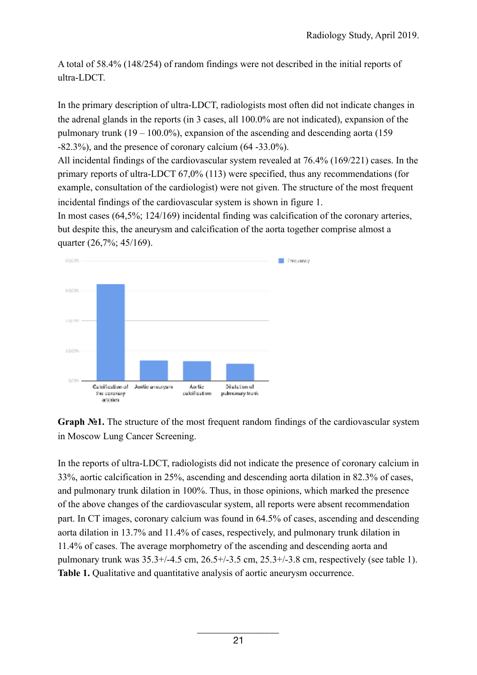A total of 58.4% (148/254) of random findings were not described in the initial reports of ultra-LDCT.

In the primary description of ultra-LDCT, radiologists most often did not indicate changes in the adrenal glands in the reports (in 3 cases, all 100.0% are not indicated), expansion of the pulmonary trunk  $(19 - 100.0\%)$ , expansion of the ascending and descending aorta (159) -82.3%), and the presence of coronary calcium (64 -33.0%).

All incidental findings of the cardiovascular system revealed at 76.4% (169/221) cases. In the primary reports of ultra-LDCT 67,0% (113) were specified, thus any recommendations (for example, consultation of the cardiologist) were not given. The structure of the most frequent incidental findings of the cardiovascular system is shown in figure 1.

In most cases (64,5%; 124/169) incidental finding was calcification of the coronary arteries, but despite this, the aneurysm and calcification of the aorta together comprise almost a quarter (26,7%; 45/169).



**Graph №1.** The structure of the most frequent random findings of the cardiovascular system in Moscow Lung Cancer Screening.

In the reports of ultra-LDCT, radiologists did not indicate the presence of coronary calcium in 33%, aortic calcification in 25%, ascending and descending aorta dilation in 82.3% of cases, and pulmonary trunk dilation in 100%. Thus, in those opinions, which marked the presence of the above changes of the cardiovascular system, all reports were absent recommendation part. In CT images, coronary calcium was found in 64.5% of cases, ascending and descending aorta dilation in 13.7% and 11.4% of cases, respectively, and pulmonary trunk dilation in 11.4% of cases. The average morphometry of the ascending and descending aorta and pulmonary trunk was 35.3+/-4.5 cm, 26.5+/-3.5 cm, 25.3+/-3.8 cm, respectively (see table 1). **Table 1.** Qualitative and quantitative analysis of aortic aneurysm occurrence.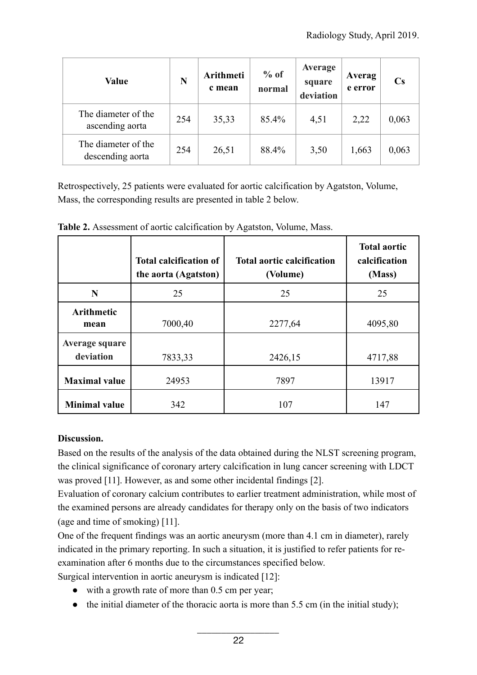| <b>Value</b>                            | N   | Arithmeti<br>c mean | $%$ of<br>normal | Average<br>square<br>deviation | Averag<br>e error | $\mathbf{C}\mathbf{s}$ |
|-----------------------------------------|-----|---------------------|------------------|--------------------------------|-------------------|------------------------|
| The diameter of the<br>ascending aorta  | 254 | 35,33               | 85.4%            | 4,51                           | 2,22              | 0,063                  |
| The diameter of the<br>descending aorta | 254 | 26,51               | 88.4%            | 3,50                           | 1,663             | 0,063                  |

Retrospectively, 25 patients were evaluated for aortic calcification by Agatston, Volume, Mass, the corresponding results are presented in table 2 below.

|                             | <b>Total calcification of</b><br>the aorta (Agatston) | <b>Total aortic calcification</b><br>(Volume) | <b>Total aortic</b><br>calcification<br>(Mass) |
|-----------------------------|-------------------------------------------------------|-----------------------------------------------|------------------------------------------------|
| N                           | 25                                                    | 25                                            | 25                                             |
| <b>Arithmetic</b><br>mean   | 7000,40                                               | 2277,64                                       | 4095,80                                        |
| Average square<br>deviation | 7833,33                                               | 2426,15                                       | 4717,88                                        |
| <b>Maximal value</b>        | 24953                                                 | 7897                                          | 13917                                          |
| <b>Minimal value</b>        | 342                                                   | 107                                           | 147                                            |

**Table 2.** Assessment of aortic calcification by Agatston, Volume, Mass.

## **Discussion.**

Based on the results of the analysis of the data obtained during the NLST screening program, the clinical significance of coronary artery calcification in lung cancer screening with LDCT was proved [11]. However, as and some other incidental findings [2].

Evaluation of coronary calcium contributes to earlier treatment administration, while most of the examined persons are already candidates for therapy only on the basis of two indicators (age and time of smoking) [11].

One of the frequent findings was an aortic aneurysm (more than 4.1 cm in diameter), rarely indicated in the primary reporting. In such a situation, it is justified to refer patients for reexamination after 6 months due to the circumstances specified below.

Surgical intervention in aortic aneurysm is indicated [12]:

- with a growth rate of more than 0.5 cm per year;
- $\bullet$  the initial diameter of the thoracic aorta is more than 5.5 cm (in the initial study);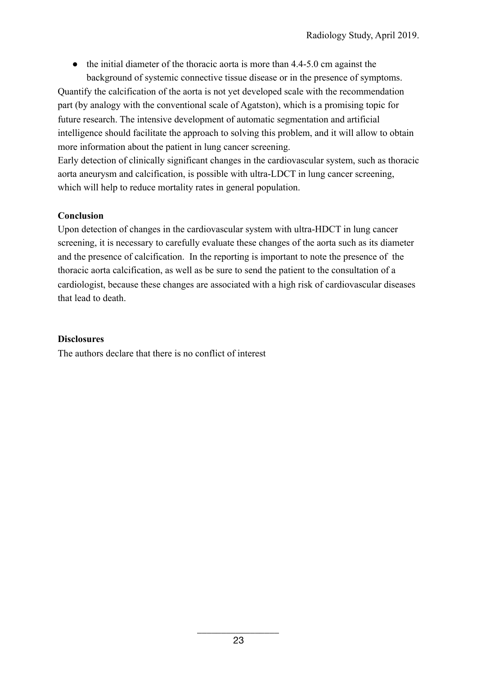• the initial diameter of the thoracic aorta is more than 4.4-5.0 cm against the background of systemic connective tissue disease or in the presence of symptoms.

Quantify the calcification of the aorta is not yet developed scale with the recommendation part (by analogy with the conventional scale of Agatston), which is a promising topic for future research. The intensive development of automatic segmentation and artificial intelligence should facilitate the approach to solving this problem, and it will allow to obtain more information about the patient in lung cancer screening.

Early detection of clinically significant changes in the cardiovascular system, such as thoracic aorta aneurysm and calcification, is possible with ultra-LDCT in lung cancer screening, which will help to reduce mortality rates in general population.

## **Conclusion**

Upon detection of changes in the cardiovascular system with ultra-HDCT in lung cancer screening, it is necessary to carefully evaluate these changes of the aorta such as its diameter and the presence of calcification. In the reporting is important to note the presence of the thoracic aorta calcification, as well as be sure to send the patient to the consultation of a cardiologist, because these changes are associated with a high risk of cardiovascular diseases that lead to death.

## **Disclosures**

The authors declare that there is no conflict of interest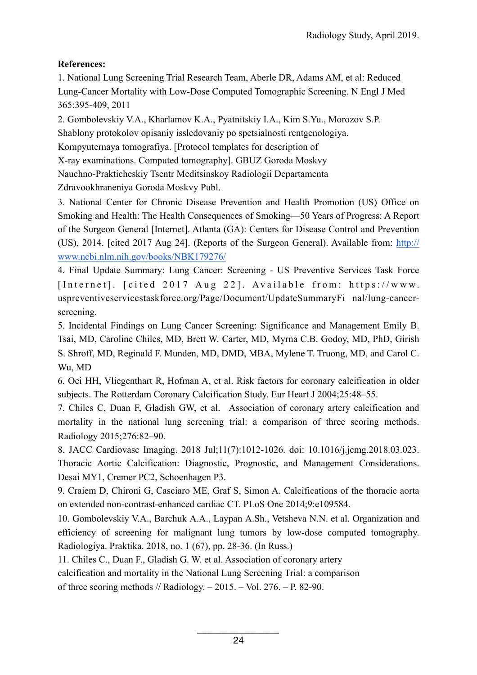# **References:**

1. National Lung Screening Trial Research Team, Aberle DR, Adams AM, et al: Reduced Lung-Cancer Mortality with Low-Dose Computed Tomographic Screening. N Engl J Med 365:395-409, 2011

2. Gombolevskiy V.А., Kharlamov K.А., Pyatnitskiy I.А., Kim S.Yu., Morozov S.P. Shablony protokolov opisaniy issledovaniy po spetsialnosti rentgenologiya. Kompyuternaya tomografiya. [Protocol templates for description of X-ray examinations. Computed tomography]. GBUZ Goroda Moskvy Nauchno-Prakticheskiy Tsentr Meditsinskoy Radiologii Departamenta Zdravookhraneniya Goroda Moskvy Publ.

3. National Center for Chronic Disease Prevention and Health Promotion (US) Office on Smoking and Health: The Health Consequences of Smoking—50 Years of Progress: A Report of the Surgeon General [Internet]. Atlanta (GA): Centers for Disease Control and Prevention (US), 2014. [cited 2017 Aug 24]. (Reports of the Surgeon General). Available from: http:// www.ncbi.nlm.nih.gov/books/NBK179276/

4. Final Update Summary: Lung Cancer: Screening - US Preventive Services Task Force [Internet]. [cited 2017 Aug 22]. Available from: https://www. uspreventiveservicestaskforce.org/Page/Document/UpdateSummaryFi nal/lung-cancerscreening.

5. Incidental Findings on Lung Cancer Screening: Significance and Management Emily B. Tsai, MD, Caroline Chiles, MD, Brett W. Carter, MD, Myrna C.B. Godoy, MD, PhD, Girish S. Shroff, MD, Reginald F. Munden, MD, DMD, MBA, Mylene T. Truong, MD, and Carol C. Wu, MD

6. Oei HH, Vliegenthart R, Hofman A, et al. Risk factors for coronary calcification in older subjects. The Rotterdam Coronary Calcification Study. Eur Heart J 2004;25:48–55.

7. Chiles C, Duan F, Gladish GW, et al. Association of coronary artery calcification and mortality in the national lung screening trial: a comparison of three scoring methods. Radiology 2015;276:82–90.

8. JACC Cardiovasc Imaging. 2018 Jul;11(7):1012-1026. doi: 10.1016/j.jcmg.2018.03.023. Thoracic Aortic Calcification: Diagnostic, Prognostic, and Management Considerations. Desai MY1, Cremer PC2, Schoenhagen P3.

9. Craiem D, Chironi G, Casciaro ME, Graf S, Simon A. Calcifications of the thoracic aorta on extended non-contrast-enhanced cardiac CT. PLoS One 2014;9:e109584.

10. Gombolevskiy V.А., Barchuk А.А., Laypan А.Sh., Vetsheva N.N. et al. Organization and efficiency of screening for malignant lung tumors by low-dose computed tomography. Radiologiya. Praktika. 2018, no. 1 (67), pp. 28-36. (In Russ.)

11. Chiles C., Duan F., Gladish G. W. et al. Association of coronary artery

calcification and mortality in the National Lung Screening Trial: a comparison

of three scoring methods // Radiology.  $- 2015. -$  Vol. 276.  $- P. 82-90.$